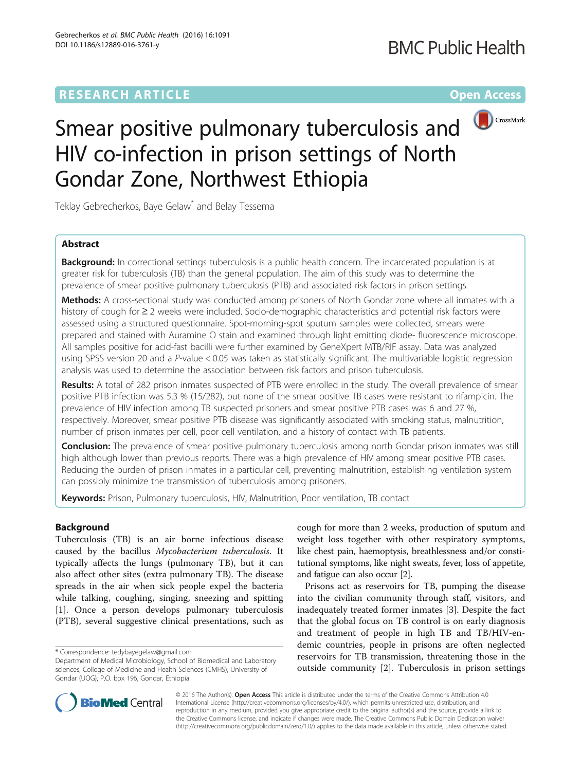## **RESEARCH ARTICLE Example 2014 12:30 The Contract of Contract ACCESS**



# Smear positive pulmonary tuberculosis and HIV co-infection in prison settings of North Gondar Zone, Northwest Ethiopia

Teklay Gebrecherkos, Baye Gelaw<sup>\*</sup> and Belay Tessema

## Abstract

Background: In correctional settings tuberculosis is a public health concern. The incarcerated population is at greater risk for tuberculosis (TB) than the general population. The aim of this study was to determine the prevalence of smear positive pulmonary tuberculosis (PTB) and associated risk factors in prison settings.

Methods: A cross-sectional study was conducted among prisoners of North Gondar zone where all inmates with a history of cough for ≥ 2 weeks were included. Socio-demographic characteristics and potential risk factors were assessed using a structured questionnaire. Spot-morning-spot sputum samples were collected, smears were prepared and stained with Auramine O stain and examined through light emitting diode- fluorescence microscope. All samples positive for acid-fast bacilli were further examined by GeneXpert MTB/RIF assay. Data was analyzed using SPSS version 20 and a P-value < 0.05 was taken as statistically significant. The multivariable logistic regression analysis was used to determine the association between risk factors and prison tuberculosis.

Results: A total of 282 prison inmates suspected of PTB were enrolled in the study. The overall prevalence of smear positive PTB infection was 5.3 % (15/282), but none of the smear positive TB cases were resistant to rifampicin. The prevalence of HIV infection among TB suspected prisoners and smear positive PTB cases was 6 and 27 %, respectively. Moreover, smear positive PTB disease was significantly associated with smoking status, malnutrition, number of prison inmates per cell, poor cell ventilation, and a history of contact with TB patients.

Conclusion: The prevalence of smear positive pulmonary tuberculosis among north Gondar prison inmates was still high although lower than previous reports. There was a high prevalence of HIV among smear positive PTB cases. Reducing the burden of prison inmates in a particular cell, preventing malnutrition, establishing ventilation system can possibly minimize the transmission of tuberculosis among prisoners.

Keywords: Prison, Pulmonary tuberculosis, HIV, Malnutrition, Poor ventilation, TB contact

## Background

Tuberculosis (TB) is an air borne infectious disease caused by the bacillus Mycobacterium tuberculosis. It typically affects the lungs (pulmonary TB), but it can also affect other sites (extra pulmonary TB). The disease spreads in the air when sick people expel the bacteria while talking, coughing, singing, sneezing and spitting [[1\]](#page-8-0). Once a person develops pulmonary tuberculosis (PTB), several suggestive clinical presentations, such as

\* Correspondence: [tedybayegelaw@gmail.com](mailto:tedybayegelaw@gmail.com)

cough for more than 2 weeks, production of sputum and weight loss together with other respiratory symptoms, like chest pain, haemoptysis, breathlessness and/or constitutional symptoms, like night sweats, fever, loss of appetite, and fatigue can also occur [\[2\]](#page-8-0).

Prisons act as reservoirs for TB, pumping the disease into the civilian community through staff, visitors, and inadequately treated former inmates [\[3](#page-8-0)]. Despite the fact that the global focus on TB control is on early diagnosis and treatment of people in high TB and TB/HIV-endemic countries, people in prisons are often neglected reservoirs for TB transmission, threatening those in the outside community [\[2](#page-8-0)]. Tuberculosis in prison settings



© 2016 The Author(s). Open Access This article is distributed under the terms of the Creative Commons Attribution 4.0 International License [\(http://creativecommons.org/licenses/by/4.0/](http://creativecommons.org/licenses/by/4.0/)), which permits unrestricted use, distribution, and reproduction in any medium, provided you give appropriate credit to the original author(s) and the source, provide a link to the Creative Commons license, and indicate if changes were made. The Creative Commons Public Domain Dedication waiver [\(http://creativecommons.org/publicdomain/zero/1.0/](http://creativecommons.org/publicdomain/zero/1.0/)) applies to the data made available in this article, unless otherwise stated.

Department of Medical Microbiology, School of Biomedical and Laboratory sciences, College of Medicine and Health Sciences (CMHS), University of Gondar (UOG), P.O. box 196, Gondar, Ethiopia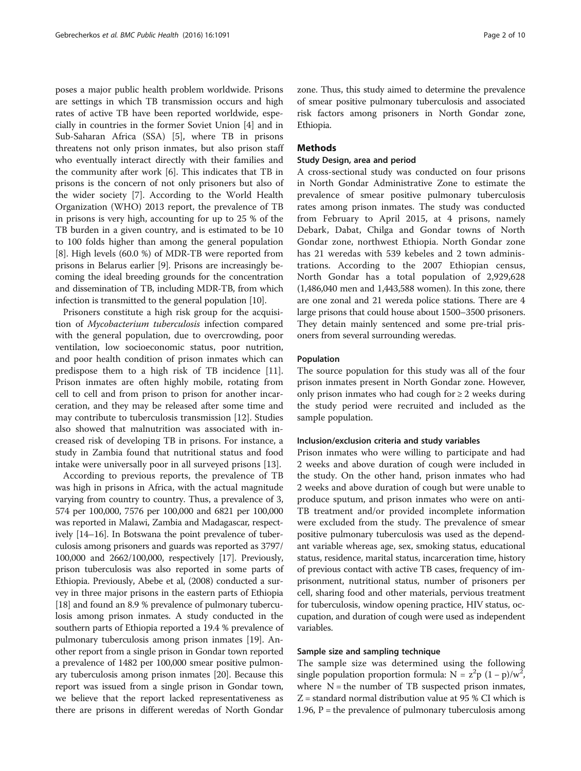poses a major public health problem worldwide. Prisons are settings in which TB transmission occurs and high rates of active TB have been reported worldwide, especially in countries in the former Soviet Union [[4\]](#page-8-0) and in Sub-Saharan Africa (SSA) [\[5](#page-8-0)], where TB in prisons threatens not only prison inmates, but also prison staff who eventually interact directly with their families and the community after work [[6](#page-8-0)]. This indicates that TB in prisons is the concern of not only prisoners but also of the wider society [\[7](#page-8-0)]. According to the World Health Organization (WHO) 2013 report, the prevalence of TB in prisons is very high, accounting for up to 25 % of the TB burden in a given country, and is estimated to be 10 to 100 folds higher than among the general population [[8\]](#page-8-0). High levels (60.0 %) of MDR-TB were reported from prisons in Belarus earlier [[9\]](#page-8-0). Prisons are increasingly becoming the ideal breeding grounds for the concentration and dissemination of TB, including MDR-TB, from which infection is transmitted to the general population [[10](#page-8-0)].

Prisoners constitute a high risk group for the acquisition of Mycobacterium tuberculosis infection compared with the general population, due to overcrowding, poor ventilation, low socioeconomic status, poor nutrition, and poor health condition of prison inmates which can predispose them to a high risk of TB incidence [\[11](#page-8-0)]. Prison inmates are often highly mobile, rotating from cell to cell and from prison to prison for another incarceration, and they may be released after some time and may contribute to tuberculosis transmission [\[12\]](#page-8-0). Studies also showed that malnutrition was associated with increased risk of developing TB in prisons. For instance, a study in Zambia found that nutritional status and food intake were universally poor in all surveyed prisons [\[13](#page-8-0)].

According to previous reports, the prevalence of TB was high in prisons in Africa, with the actual magnitude varying from country to country. Thus, a prevalence of 3, 574 per 100,000, 7576 per 100,000 and 6821 per 100,000 was reported in Malawi, Zambia and Madagascar, respectively [\[14](#page-8-0)–[16](#page-8-0)]. In Botswana the point prevalence of tuberculosis among prisoners and guards was reported as 3797/ 100,000 and 2662/100,000, respectively [[17](#page-8-0)]. Previously, prison tuberculosis was also reported in some parts of Ethiopia. Previously, Abebe et al, (2008) conducted a survey in three major prisons in the eastern parts of Ethiopia [[18](#page-8-0)] and found an 8.9 % prevalence of pulmonary tuberculosis among prison inmates. A study conducted in the southern parts of Ethiopia reported a 19.4 % prevalence of pulmonary tuberculosis among prison inmates [[19](#page-8-0)]. Another report from a single prison in Gondar town reported a prevalence of 1482 per 100,000 smear positive pulmonary tuberculosis among prison inmates [\[20\]](#page-8-0). Because this report was issued from a single prison in Gondar town, we believe that the report lacked representativeness as there are prisons in different weredas of North Gondar zone. Thus, this study aimed to determine the prevalence of smear positive pulmonary tuberculosis and associated risk factors among prisoners in North Gondar zone, Ethiopia.

#### Methods

#### Study Design, area and period

A cross-sectional study was conducted on four prisons in North Gondar Administrative Zone to estimate the prevalence of smear positive pulmonary tuberculosis rates among prison inmates. The study was conducted from February to April 2015, at 4 prisons, namely Debark, Dabat, Chilga and Gondar towns of North Gondar zone, northwest Ethiopia. North Gondar zone has 21 weredas with 539 kebeles and 2 town administrations. According to the 2007 Ethiopian census, North Gondar has a total population of 2,929,628 (1,486,040 men and 1,443,588 women). In this zone, there are one zonal and 21 wereda police stations. There are 4 large prisons that could house about 1500–3500 prisoners. They detain mainly sentenced and some pre-trial prisoners from several surrounding weredas.

#### Population

The source population for this study was all of the four prison inmates present in North Gondar zone. However, only prison inmates who had cough for  $\geq 2$  weeks during the study period were recruited and included as the sample population.

#### Inclusion/exclusion criteria and study variables

Prison inmates who were willing to participate and had 2 weeks and above duration of cough were included in the study. On the other hand, prison inmates who had 2 weeks and above duration of cough but were unable to produce sputum, and prison inmates who were on anti-TB treatment and/or provided incomplete information were excluded from the study. The prevalence of smear positive pulmonary tuberculosis was used as the dependant variable whereas age, sex, smoking status, educational status, residence, marital status, incarceration time, history of previous contact with active TB cases, frequency of imprisonment, nutritional status, number of prisoners per cell, sharing food and other materials, pervious treatment for tuberculosis, window opening practice, HIV status, occupation, and duration of cough were used as independent variables.

#### Sample size and sampling technique

The sample size was determined using the following single population proportion formula:  $N = z^2p (1-p)/w^2$ , where  $N =$  the number of TB suspected prison inmates, Z = standard normal distribution value at 95 % CI which is 1.96,  $P =$  the prevalence of pulmonary tuberculosis among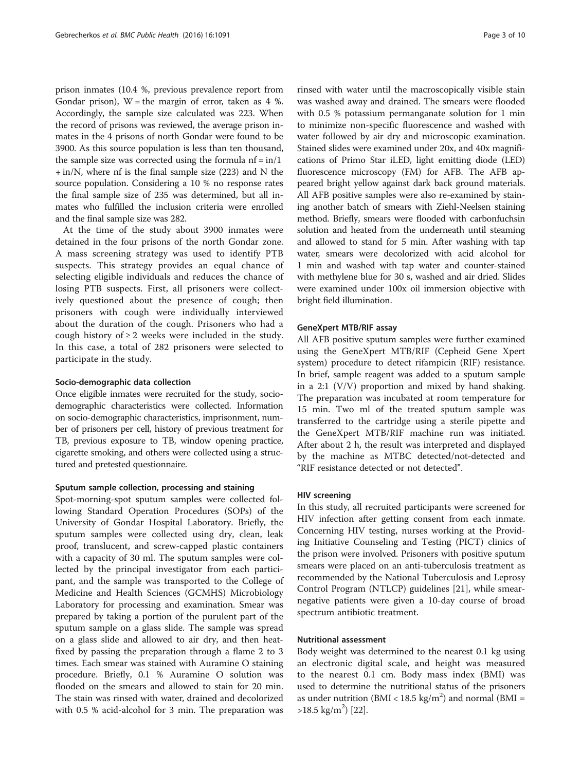prison inmates (10.4 %, previous prevalence report from Gondar prison),  $W =$  the margin of error, taken as 4 %. Accordingly, the sample size calculated was 223. When the record of prisons was reviewed, the average prison inmates in the 4 prisons of north Gondar were found to be 3900. As this source population is less than ten thousand, the sample size was corrected using the formula  $nf = in/1$ + in/N, where nf is the final sample size (223) and N the source population. Considering a 10 % no response rates the final sample size of 235 was determined, but all inmates who fulfilled the inclusion criteria were enrolled and the final sample size was 282.

At the time of the study about 3900 inmates were detained in the four prisons of the north Gondar zone. A mass screening strategy was used to identify PTB suspects. This strategy provides an equal chance of selecting eligible individuals and reduces the chance of losing PTB suspects. First, all prisoners were collectively questioned about the presence of cough; then prisoners with cough were individually interviewed about the duration of the cough. Prisoners who had a cough history of  $\geq 2$  weeks were included in the study. In this case, a total of 282 prisoners were selected to participate in the study.

#### Socio-demographic data collection

Once eligible inmates were recruited for the study, sociodemographic characteristics were collected. Information on socio-demographic characteristics, imprisonment, number of prisoners per cell, history of previous treatment for TB, previous exposure to TB, window opening practice, cigarette smoking, and others were collected using a structured and pretested questionnaire.

#### Sputum sample collection, processing and staining

Spot-morning-spot sputum samples were collected following Standard Operation Procedures (SOPs) of the University of Gondar Hospital Laboratory. Briefly, the sputum samples were collected using dry, clean, leak proof, translucent, and screw-capped plastic containers with a capacity of 30 ml. The sputum samples were collected by the principal investigator from each participant, and the sample was transported to the College of Medicine and Health Sciences (GCMHS) Microbiology Laboratory for processing and examination. Smear was prepared by taking a portion of the purulent part of the sputum sample on a glass slide. The sample was spread on a glass slide and allowed to air dry, and then heatfixed by passing the preparation through a flame 2 to 3 times. Each smear was stained with Auramine O staining procedure. Briefly, 0.1 % Auramine O solution was flooded on the smears and allowed to stain for 20 min. The stain was rinsed with water, drained and decolorized with 0.5 % acid-alcohol for 3 min. The preparation was

rinsed with water until the macroscopically visible stain was washed away and drained. The smears were flooded with 0.5 % potassium permanganate solution for 1 min to minimize non-specific fluorescence and washed with water followed by air dry and microscopic examination. Stained slides were examined under 20x, and 40x magnifications of Primo Star iLED, light emitting diode (LED) fluorescence microscopy (FM) for AFB. The AFB appeared bright yellow against dark back ground materials. All AFB positive samples were also re-examined by staining another batch of smears with Ziehl-Neelsen staining method. Briefly, smears were flooded with carbonfuchsin solution and heated from the underneath until steaming and allowed to stand for 5 min. After washing with tap water, smears were decolorized with acid alcohol for 1 min and washed with tap water and counter-stained with methylene blue for 30 s, washed and air dried. Slides were examined under 100x oil immersion objective with bright field illumination.

#### GeneXpert MTB/RIF assay

All AFB positive sputum samples were further examined using the GeneXpert MTB/RIF (Cepheid Gene Xpert system) procedure to detect rifampicin (RIF) resistance. In brief, sample reagent was added to a sputum sample in a 2:1 (V/V) proportion and mixed by hand shaking. The preparation was incubated at room temperature for 15 min. Two ml of the treated sputum sample was transferred to the cartridge using a sterile pipette and the GeneXpert MTB/RIF machine run was initiated. After about 2 h, the result was interpreted and displayed by the machine as MTBC detected/not-detected and "RIF resistance detected or not detected".

#### HIV screening

In this study, all recruited participants were screened for HIV infection after getting consent from each inmate. Concerning HIV testing, nurses working at the Providing Initiative Counseling and Testing (PICT) clinics of the prison were involved. Prisoners with positive sputum smears were placed on an anti-tuberculosis treatment as recommended by the National Tuberculosis and Leprosy Control Program (NTLCP) guidelines [\[21](#page-8-0)], while smearnegative patients were given a 10-day course of broad spectrum antibiotic treatment.

#### Nutritional assessment

Body weight was determined to the nearest 0.1 kg using an electronic digital scale, and height was measured to the nearest 0.1 cm. Body mass index (BMI) was used to determine the nutritional status of the prisoners as under nutrition (BMI <  $18.5 \text{ kg/m}^2$ ) and normal (BMI =  $>18.5$  kg/m<sup>2</sup>) [\[22](#page-8-0)].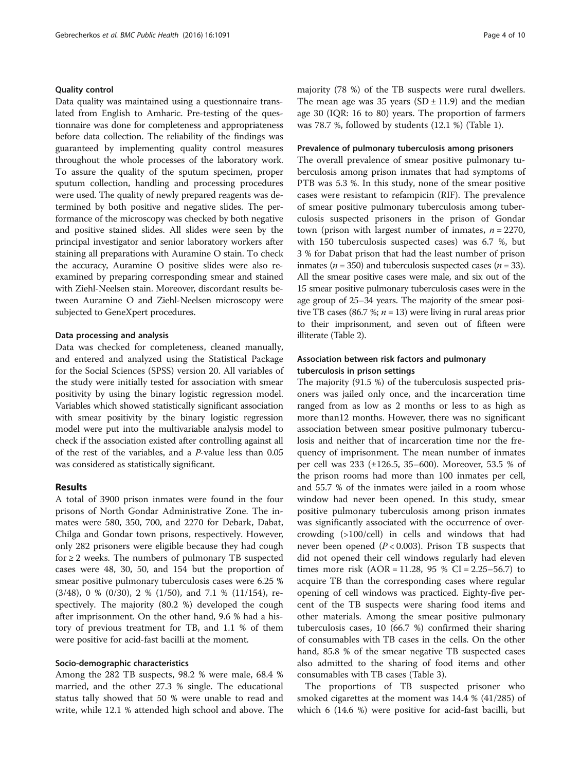#### Quality control

Data quality was maintained using a questionnaire translated from English to Amharic. Pre-testing of the questionnaire was done for completeness and appropriateness before data collection. The reliability of the findings was guaranteed by implementing quality control measures throughout the whole processes of the laboratory work. To assure the quality of the sputum specimen, proper sputum collection, handling and processing procedures were used. The quality of newly prepared reagents was determined by both positive and negative slides. The performance of the microscopy was checked by both negative and positive stained slides. All slides were seen by the principal investigator and senior laboratory workers after staining all preparations with Auramine O stain. To check the accuracy, Auramine O positive slides were also reexamined by preparing corresponding smear and stained with Ziehl-Neelsen stain. Moreover, discordant results between Auramine O and Ziehl-Neelsen microscopy were subjected to GeneXpert procedures.

#### Data processing and analysis

Data was checked for completeness, cleaned manually, and entered and analyzed using the Statistical Package for the Social Sciences (SPSS) version 20. All variables of the study were initially tested for association with smear positivity by using the binary logistic regression model. Variables which showed statistically significant association with smear positivity by the binary logistic regression model were put into the multivariable analysis model to check if the association existed after controlling against all of the rest of the variables, and a P-value less than 0.05 was considered as statistically significant.

#### Results

A total of 3900 prison inmates were found in the four prisons of North Gondar Administrative Zone. The inmates were 580, 350, 700, and 2270 for Debark, Dabat, Chilga and Gondar town prisons, respectively. However, only 282 prisoners were eligible because they had cough for  $\geq$  2 weeks. The numbers of pulmonary TB suspected cases were 48, 30, 50, and 154 but the proportion of smear positive pulmonary tuberculosis cases were 6.25 % (3/48), 0 % (0/30), 2 % (1/50), and 7.1 % (11/154), respectively. The majority (80.2 %) developed the cough after imprisonment. On the other hand, 9.6 % had a history of previous treatment for TB, and 1.1 % of them were positive for acid-fast bacilli at the moment.

#### Socio-demographic characteristics

Among the 282 TB suspects, 98.2 % were male, 68.4 % married, and the other 27.3 % single. The educational status tally showed that 50 % were unable to read and write, while 12.1 % attended high school and above. The

majority (78 %) of the TB suspects were rural dwellers. The mean age was 35 years  $(SD \pm 11.9)$  and the median age 30 (IQR: 16 to 80) years. The proportion of farmers was 78.7 %, followed by students (12.1 %) (Table [1](#page-4-0)).

#### Prevalence of pulmonary tuberculosis among prisoners

The overall prevalence of smear positive pulmonary tuberculosis among prison inmates that had symptoms of PTB was 5.3 %. In this study, none of the smear positive cases were resistant to refampicin (RIF). The prevalence of smear positive pulmonary tuberculosis among tuberculosis suspected prisoners in the prison of Gondar town (prison with largest number of inmates,  $n = 2270$ , with 150 tuberculosis suspected cases) was 6.7 %, but 3 % for Dabat prison that had the least number of prison inmates ( $n = 350$ ) and tuberculosis suspected cases ( $n = 33$ ). All the smear positive cases were male, and six out of the 15 smear positive pulmonary tuberculosis cases were in the age group of 25–34 years. The majority of the smear positive TB cases (86.7 %;  $n = 13$ ) were living in rural areas prior to their imprisonment, and seven out of fifteen were illiterate (Table [2](#page-5-0)).

#### Association between risk factors and pulmonary tuberculosis in prison settings

The majority (91.5 %) of the tuberculosis suspected prisoners was jailed only once, and the incarceration time ranged from as low as 2 months or less to as high as more than12 months. However, there was no significant association between smear positive pulmonary tuberculosis and neither that of incarceration time nor the frequency of imprisonment. The mean number of inmates per cell was 233 (±126.5, 35–600). Moreover, 53.5 % of the prison rooms had more than 100 inmates per cell, and 55.7 % of the inmates were jailed in a room whose window had never been opened. In this study, smear positive pulmonary tuberculosis among prison inmates was significantly associated with the occurrence of overcrowding (>100/cell) in cells and windows that had never been opened ( $P < 0.003$ ). Prison TB suspects that did not opened their cell windows regularly had eleven times more risk  $(AOR = 11.28, 95 % CI = 2.25-56.7)$  to acquire TB than the corresponding cases where regular opening of cell windows was practiced. Eighty-five percent of the TB suspects were sharing food items and other materials. Among the smear positive pulmonary tuberculosis cases, 10 (66.7 %) confirmed their sharing of consumables with TB cases in the cells. On the other hand, 85.8 % of the smear negative TB suspected cases also admitted to the sharing of food items and other consumables with TB cases (Table [3\)](#page-6-0).

The proportions of TB suspected prisoner who smoked cigarettes at the moment was 14.4 % (41/285) of which 6 (14.6 %) were positive for acid-fast bacilli, but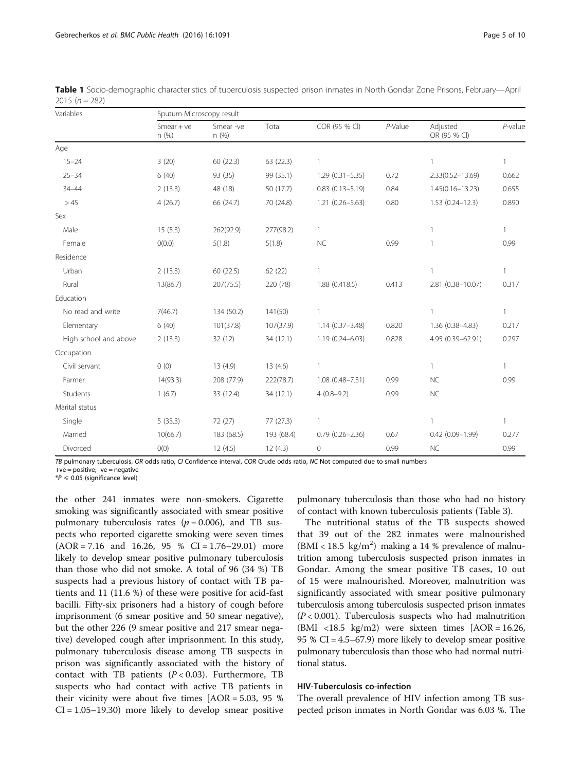TB pulmonary tuberculosis, OR odds ratio, CI Confidence interval, COR Crude odds ratio, NC Not computed due to small numbers

+ve = positive; -ve = negative  $*P \le 0.05$  (significance level)

the other 241 inmates were non-smokers. Cigarette smoking was significantly associated with smear positive pulmonary tuberculosis rates ( $p = 0.006$ ), and TB suspects who reported cigarette smoking were seven times  $(AOR = 7.16$  and 16.26, 95 % CI = 1.76–29.01) more likely to develop smear positive pulmonary tuberculosis than those who did not smoke. A total of 96 (34 %) TB suspects had a previous history of contact with TB patients and 11 (11.6 %) of these were positive for acid-fast bacilli. Fifty-six prisoners had a history of cough before imprisonment (6 smear positive and 50 smear negative), but the other 226 (9 smear positive and 217 smear negative) developed cough after imprisonment. In this study, pulmonary tuberculosis disease among TB suspects in prison was significantly associated with the history of contact with TB patients  $(P < 0.03)$ . Furthermore, TB suspects who had contact with active TB patients in their vicinity were about five times  $[AOR = 5.03, 95 %$  $CI = 1.05 - 19.30$  more likely to develop smear positive pulmonary tuberculosis than those who had no history of contact with known tuberculosis patients (Table [3\)](#page-6-0).

The nutritional status of the TB suspects showed that 39 out of the 282 inmates were malnourished  $(BMI < 18.5 \text{ kg/m}^2)$  making a 14 % prevalence of malnutrition among tuberculosis suspected prison inmates in Gondar. Among the smear positive TB cases, 10 out of 15 were malnourished. Moreover, malnutrition was significantly associated with smear positive pulmonary tuberculosis among tuberculosis suspected prison inmates  $(P < 0.001)$ . Tuberculosis suspects who had malnutrition (BMI <18.5 kg/m2) were sixteen times  $[AOR = 16.26,$ 95 % CI = 4.5–67.9) more likely to develop smear positive pulmonary tuberculosis than those who had normal nutritional status.

### HIV-Tuberculosis co-infection

The overall prevalence of HIV infection among TB suspected prison inmates in North Gondar was 6.03 %. The

| Variables             | Sputum Microscopy result |                   |            |                        |         |                          |              |  |  |
|-----------------------|--------------------------|-------------------|------------|------------------------|---------|--------------------------|--------------|--|--|
|                       | Smear $+ve$<br>n(%)      | Smear -ve<br>n(%) | Total      | COR (95 % CI)          | P-Value | Adjusted<br>OR (95 % CI) | $P$ -value   |  |  |
| Age                   |                          |                   |            |                        |         |                          |              |  |  |
| $15 - 24$             | 3(20)                    | 60 (22.3)         | 63 (22.3)  | 1                      |         | 1                        | 1            |  |  |
| $25 - 34$             | 6(40)                    | 93 (35)           | 99 (35.1)  | $1.29(0.31 - 5.35)$    | 0.72    | $2.33(0.52 - 13.69)$     | 0.662        |  |  |
| $34 - 44$             | 2(13.3)                  | 48 (18)           | 50 (17.7)  | $0.83$ $(0.13 - 5.19)$ | 0.84    | $1.45(0.16 - 13.23)$     | 0.655        |  |  |
| >45                   | 4(26.7)                  | 66 (24.7)         | 70 (24.8)  | $1.21(0.26 - 5.63)$    | 0.80    | $1.53(0.24 - 12.3)$      | 0.890        |  |  |
| Sex                   |                          |                   |            |                        |         |                          |              |  |  |
| Male                  | 15(5.3)                  | 262(92.9)         | 277(98.2)  | 1                      |         | 1                        | $\mathbf{1}$ |  |  |
| Female                | O(0.0)                   | 5(1.8)            | 5(1.8)     | <b>NC</b>              | 0.99    | 1                        | 0.99         |  |  |
| Residence             |                          |                   |            |                        |         |                          |              |  |  |
| Urban                 | 2(13.3)                  | 60 (22.5)         | 62(22)     | 1                      |         | $\mathbf{1}$             |              |  |  |
| Rural                 | 13(86.7)                 | 207(75.5)         | 220 (78)   | 1.88 (0.418.5)         | 0.413   | 2.81 (0.38-10.07)        | 0.317        |  |  |
| Education             |                          |                   |            |                        |         |                          |              |  |  |
| No read and write     | 7(46.7)                  | 134 (50.2)        | 141(50)    | 1                      |         | $\mathbf{1}$             | $\mathbf{1}$ |  |  |
| Elementary            | 6(40)                    | 101(37.8)         | 107(37.9)  | $1.14(0.37 - 3.48)$    | 0.820   | 1.36 (0.38-4.83)         | 0.217        |  |  |
| High school and above | 2(13.3)                  | 32 (12)           | 34 (12.1)  | 1.19 (0.24-6.03)       | 0.828   | 4.95 (0.39-62.91)        | 0.297        |  |  |
| Occupation            |                          |                   |            |                        |         |                          |              |  |  |
| Civil servant         | 0(0)                     | 13(4.9)           | 13(4.6)    | 1                      |         | $\mathbf{1}$             | $\mathbf{1}$ |  |  |
| Farmer                | 14(93.3)                 | 208 (77.9)        | 222(78.7)  | 1.08 (0.48-7.31)       | 0.99    | <b>NC</b>                | 0.99         |  |  |
| Students              | 1(6.7)                   | 33 (12.4)         | 34 (12.1)  | $4(0.8-9.2)$           | 0.99    | <b>NC</b>                |              |  |  |
| Marital status        |                          |                   |            |                        |         |                          |              |  |  |
| Single                | 5(33.3)                  | 72 (27)           | 77(27.3)   | 1                      |         | $\mathbf{1}$             | $\mathbf{1}$ |  |  |
| Married               | 10(66.7)                 | 183 (68.5)        | 193 (68.4) | $0.79(0.26 - 2.36)$    | 0.67    | $0.42(0.09 - 1.99)$      | 0.277        |  |  |
| Divorced              | O(0)                     | 12(4.5)           | 12(4.3)    | 0                      | 0.99    | <b>NC</b>                | 0.99         |  |  |

<span id="page-4-0"></span>Table 1 Socio-demographic characteristics of tuberculosis suspected prison inmates in North Gondar Zone Prisons, February—April 2015 ( $n = 282$ )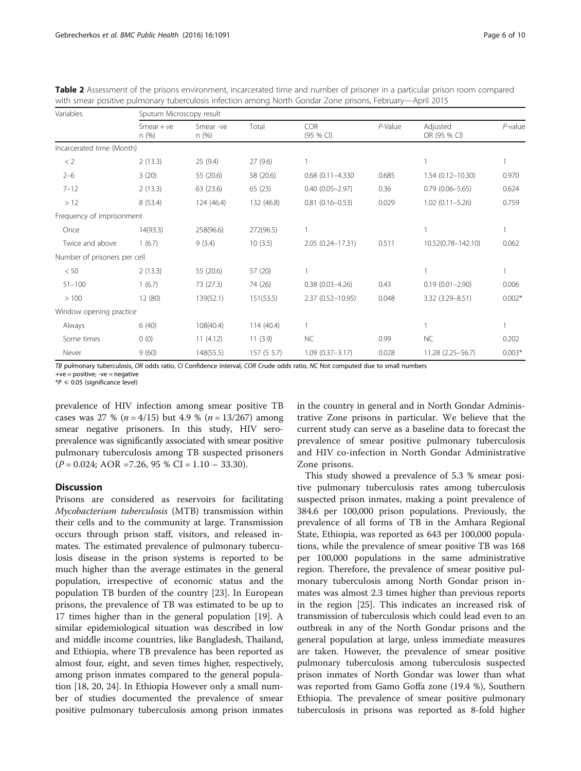| Variables                    |                       | Sputum Microscopy result |            |                     |         |                          |            |  |  |
|------------------------------|-----------------------|--------------------------|------------|---------------------|---------|--------------------------|------------|--|--|
|                              | $S$ mear + ve<br>n(%) | Smear-ve<br>n (%)        | Total      | COR<br>(95 % C)     | P-Value | Adjusted<br>OR (95 % CI) | $P$ -value |  |  |
| Incarcerated time (Month)    |                       |                          |            |                     |         |                          |            |  |  |
| < 2                          | 2(13.3)               | 25(9.4)                  | 27(9.6)    |                     |         |                          |            |  |  |
| $2 - 6$                      | 3(20)                 | 55 (20.6)                | 58 (20.6)  | $0.68$ (0.11-4.330) | 0.685   | $1.54(0.12 - 10.30)$     | 0.970      |  |  |
| $7 - 12$                     | 2(13.3)               | 63 (23.6)                | 65(23)     | $0.40(0.05 - 2.97)$ | 0.36    | $0.79(0.06 - 5.65)$      | 0.624      |  |  |
| >12                          | 8(53.4)               | 124 (46.4)               | 132 (46.8) | $0.81(0.16 - 0.53)$ | 0.029   | $1.02(0.11 - 5.26)$      | 0.759      |  |  |
| Frequency of imprisonment    |                       |                          |            |                     |         |                          |            |  |  |
| Once                         | 14(93.3)              | 258(96.6)                | 272(96.5)  |                     |         |                          |            |  |  |
| Twice and above              | 1(6.7)                | 9(3.4)                   | 10(3.5)    | 2.05 (0.24-17.31)   | 0.511   | 10.52(0.78-142.10)       | 0.062      |  |  |
| Number of prisoners per cell |                       |                          |            |                     |         |                          |            |  |  |
| < 50                         | 2(13.3)               | 55 (20.6)                | 57 (20)    |                     |         |                          |            |  |  |
| $51 - 100$                   | 1(6.7)                | 73 (27.3)                | 74 (26)    | $0.38(0.03 - 4.26)$ | 0.43    | $0.19(0.01 - 2.90)$      | 0.006      |  |  |
| >100                         | 12 (80)               | 139(52.1)                | 151(53.5)  | 2.37 (0.52-10.95)   | 0.048   | 3.32 (3.29-8.51)         | $0.002*$   |  |  |
| Window opening practice      |                       |                          |            |                     |         |                          |            |  |  |
| Always                       | 6(40)                 | 108(40.4)                | 114 (40.4) |                     |         |                          |            |  |  |
| Some times                   | 0(0)                  | 11(4.12)                 | 11(3.9)    | <b>NC</b>           | 0.99    | <b>NC</b>                | 0.202      |  |  |
| Never                        | 9(60)                 | 148(55.5)                | 157(55.7)  | $1.09(0.37 - 3.17)$ | 0.028   | 11.28 (2.25-56.7)        | $0.003*$   |  |  |

<span id="page-5-0"></span>Table 2 Assessment of the prisons environment, incarcerated time and number of prisoner in a particular prison room compared with smear positive pulmonary tuberculosis infection among North Gondar Zone prisons, February—April 2015

TB pulmonary tuberculosis, OR odds ratio, CI Confidence interval, COR Crude odds ratio, NC Not computed due to small numbers

+ve = positive; -ve = negative

 $*P \leqslant 0.05$  (significance level)

prevalence of HIV infection among smear positive TB cases was 27 % ( $n = 4/15$ ) but 4.9 % ( $n = 13/267$ ) among smear negative prisoners. In this study, HIV seroprevalence was significantly associated with smear positive pulmonary tuberculosis among TB suspected prisoners  $(P = 0.024; AOR = 7.26, 95 % CI = 1.10 - 33.30).$ 

#### Discussion

Prisons are considered as reservoirs for facilitating Mycobacterium tuberculosis (MTB) transmission within their cells and to the community at large. Transmission occurs through prison staff, visitors, and released inmates. The estimated prevalence of pulmonary tuberculosis disease in the prison systems is reported to be much higher than the average estimates in the general population, irrespective of economic status and the population TB burden of the country [\[23](#page-8-0)]. In European prisons, the prevalence of TB was estimated to be up to 17 times higher than in the general population [\[19](#page-8-0)]. A similar epidemiological situation was described in low and middle income countries, like Bangladesh, Thailand, and Ethiopia, where TB prevalence has been reported as almost four, eight, and seven times higher, respectively, among prison inmates compared to the general population [\[18, 20, 24\]](#page-8-0). In Ethiopia However only a small number of studies documented the prevalence of smear positive pulmonary tuberculosis among prison inmates in the country in general and in North Gondar Administrative Zone prisons in particular. We believe that the current study can serve as a baseline data to forecast the prevalence of smear positive pulmonary tuberculosis and HIV co-infection in North Gondar Administrative Zone prisons.

This study showed a prevalence of 5.3 % smear positive pulmonary tuberculosis rates among tuberculosis suspected prison inmates, making a point prevalence of 384.6 per 100,000 prison populations. Previously, the prevalence of all forms of TB in the Amhara Regional State, Ethiopia, was reported as 643 per 100,000 populations, while the prevalence of smear positive TB was 168 per 100,000 populations in the same administrative region. Therefore, the prevalence of smear positive pulmonary tuberculosis among North Gondar prison inmates was almost 2.3 times higher than previous reports in the region [\[25](#page-8-0)]. This indicates an increased risk of transmission of tuberculosis which could lead even to an outbreak in any of the North Gondar prisons and the general population at large, unless immediate measures are taken. However, the prevalence of smear positive pulmonary tuberculosis among tuberculosis suspected prison inmates of North Gondar was lower than what was reported from Gamo Goffa zone (19.4 %), Southern Ethiopia. The prevalence of smear positive pulmonary tuberculosis in prisons was reported as 8-fold higher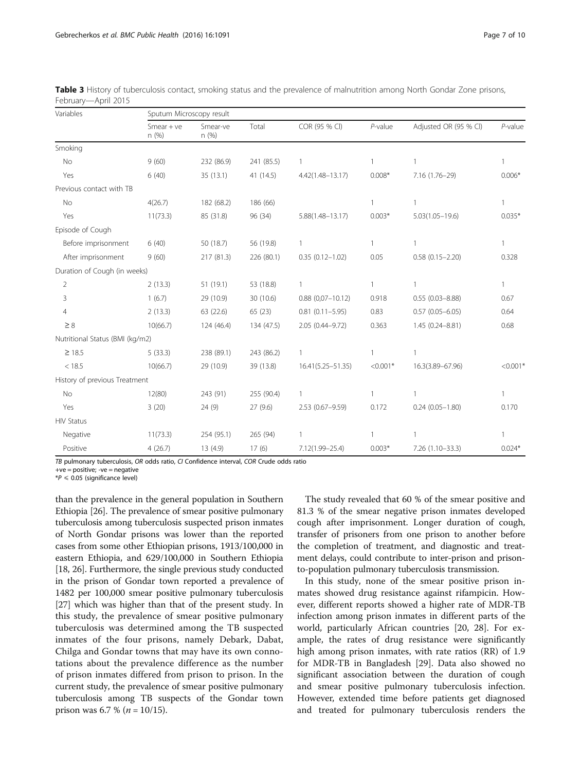| Variables                       | Sputum Microscopy result |                  |            |                      |              |                       |              |  |  |
|---------------------------------|--------------------------|------------------|------------|----------------------|--------------|-----------------------|--------------|--|--|
|                                 | $S$ mear + ve<br>n (%)   | Smear-ve<br>n(%) | Total      | COR (95 % CI)        | $P$ -value   | Adjusted OR (95 % Cl) | $P$ -value   |  |  |
| Smoking                         |                          |                  |            |                      |              |                       |              |  |  |
| No                              | 9(60)                    | 232 (86.9)       | 241 (85.5) | 1                    | 1            | 1                     | 1            |  |  |
| Yes                             | 6(40)                    | 35(13.1)         | 41 (14.5)  | $4.42(1.48 - 13.17)$ | $0.008*$     | 7.16 (1.76-29)        | $0.006*$     |  |  |
| Previous contact with TB        |                          |                  |            |                      |              |                       |              |  |  |
| No                              | 4(26.7)                  | 182 (68.2)       | 186 (66)   |                      | $\mathbf{1}$ | $\mathbf{1}$          | $\mathbf{1}$ |  |  |
| Yes                             | 11(73.3)                 | 85 (31.8)        | 96 (34)    | $5.88(1.48 - 13.17)$ | $0.003*$     | $5.03(1.05 - 19.6)$   | $0.035*$     |  |  |
| Episode of Cough                |                          |                  |            |                      |              |                       |              |  |  |
| Before imprisonment             | 6(40)                    | 50 (18.7)        | 56 (19.8)  | $\mathbf{1}$         | 1            |                       | $\mathbf{1}$ |  |  |
| After imprisonment              | 9(60)                    | 217 (81.3)       | 226 (80.1) | $0.35(0.12 - 1.02)$  | 0.05         | $0.58(0.15 - 2.20)$   | 0.328        |  |  |
| Duration of Cough (in weeks)    |                          |                  |            |                      |              |                       |              |  |  |
| $\overline{2}$                  | 2(13.3)                  | 51 (19.1)        | 53 (18.8)  | $\mathbf{1}$         | 1            | 1                     | $\mathbf{1}$ |  |  |
| 3                               | 1(6.7)                   | 29 (10.9)        | 30 (10.6)  | $0.88(0,07-10.12)$   | 0.918        | $0.55(0.03 - 8.88)$   | 0.67         |  |  |
| 4                               | 2(13.3)                  | 63 (22.6)        | 65(23)     | $0.81(0.11 - 5.95)$  | 0.83         | $0.57(0.05 - 6.05)$   | 0.64         |  |  |
| $\geq 8$                        | 10(66.7)                 | 124 (46.4)       | 134 (47.5) | 2.05 (0.44-9.72)     | 0.363        | 1.45 (0.24-8.81)      | 0.68         |  |  |
| Nutritional Status (BMI (kg/m2) |                          |                  |            |                      |              |                       |              |  |  |
| $\geq$ 18.5                     | 5(33.3)                  | 238 (89.1)       | 243 (86.2) | $\mathbf{1}$         |              |                       |              |  |  |
| < 18.5                          | 10(66.7)                 | 29 (10.9)        | 39 (13.8)  | 16.41(5.25-51.35)    | $< 0.001*$   | 16.3(3.89-67.96)      | $< 0.001*$   |  |  |
| History of previous Treatment   |                          |                  |            |                      |              |                       |              |  |  |
| No                              | 12(80)                   | 243 (91)         | 255 (90.4) | $\mathbf{1}$         | 1            | 1                     | $\mathbf{1}$ |  |  |
| Yes                             | 3(20)                    | 24(9)            | 27(9.6)    | 2.53 (0.67-9.59)     | 0.172        | $0.24(0.05 - 1.80)$   | 0.170        |  |  |
| <b>HIV Status</b>               |                          |                  |            |                      |              |                       |              |  |  |
| Negative                        | 11(73.3)                 | 254 (95.1)       | 265 (94)   | 1                    | $\mathbf{1}$ |                       | 1            |  |  |
| Positive                        | 4(26.7)                  | 13 (4.9)         | 17(6)      | 7.12(1.99-25.4)      | $0.003*$     | 7.26 (1.10-33.3)      | $0.024*$     |  |  |

<span id="page-6-0"></span>Table 3 History of tuberculosis contact, smoking status and the prevalence of malnutrition among North Gondar Zone prisons, February—April 2015

TB pulmonary tuberculosis, OR odds ratio, CI Confidence interval, COR Crude odds ratio

+ve = positive; -ve = negative

 $*P \leq 0.05$  (significance level)

than the prevalence in the general population in Southern Ethiopia [[26](#page-8-0)]. The prevalence of smear positive pulmonary tuberculosis among tuberculosis suspected prison inmates of North Gondar prisons was lower than the reported cases from some other Ethiopian prisons, 1913/100,000 in eastern Ethiopia, and 629/100,000 in Southern Ethiopia [[18](#page-8-0), [26\]](#page-8-0). Furthermore, the single previous study conducted in the prison of Gondar town reported a prevalence of 1482 per 100,000 smear positive pulmonary tuberculosis [[27](#page-8-0)] which was higher than that of the present study. In this study, the prevalence of smear positive pulmonary tuberculosis was determined among the TB suspected inmates of the four prisons, namely Debark, Dabat, Chilga and Gondar towns that may have its own connotations about the prevalence difference as the number of prison inmates differed from prison to prison. In the current study, the prevalence of smear positive pulmonary tuberculosis among TB suspects of the Gondar town prison was 6.7 % ( $n = 10/15$ ).

The study revealed that 60 % of the smear positive and 81.3 % of the smear negative prison inmates developed cough after imprisonment. Longer duration of cough, transfer of prisoners from one prison to another before the completion of treatment, and diagnostic and treatment delays, could contribute to inter-prison and prisonto-population pulmonary tuberculosis transmission.

In this study, none of the smear positive prison inmates showed drug resistance against rifampicin. However, different reports showed a higher rate of MDR-TB infection among prison inmates in different parts of the world, particularly African countries [[20, 28\]](#page-8-0). For example, the rates of drug resistance were significantly high among prison inmates, with rate ratios (RR) of 1.9 for MDR-TB in Bangladesh [\[29](#page-8-0)]. Data also showed no significant association between the duration of cough and smear positive pulmonary tuberculosis infection. However, extended time before patients get diagnosed and treated for pulmonary tuberculosis renders the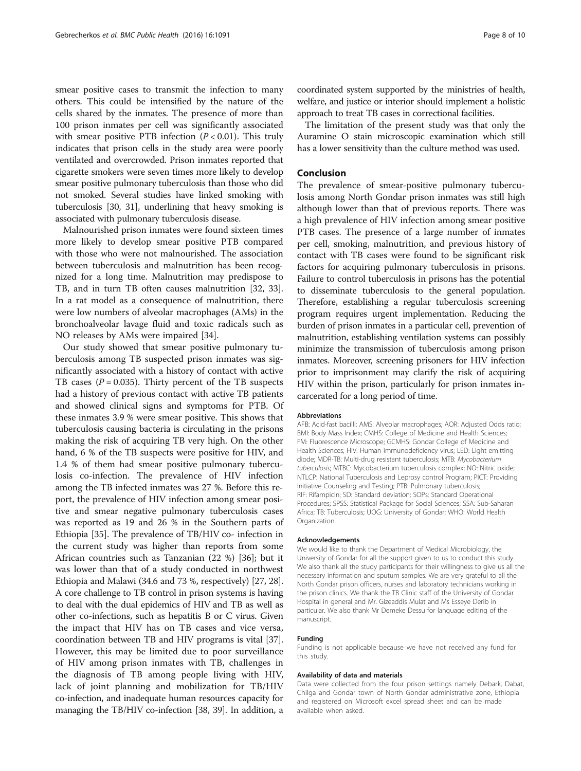smear positive cases to transmit the infection to many others. This could be intensified by the nature of the cells shared by the inmates. The presence of more than 100 prison inmates per cell was significantly associated with smear positive PTB infection  $(P < 0.01)$ . This truly indicates that prison cells in the study area were poorly ventilated and overcrowded. Prison inmates reported that cigarette smokers were seven times more likely to develop smear positive pulmonary tuberculosis than those who did not smoked. Several studies have linked smoking with tuberculosis [\[30](#page-8-0), [31](#page-8-0)], underlining that heavy smoking is associated with pulmonary tuberculosis disease.

Malnourished prison inmates were found sixteen times more likely to develop smear positive PTB compared with those who were not malnourished. The association between tuberculosis and malnutrition has been recognized for a long time. Malnutrition may predispose to TB, and in turn TB often causes malnutrition [\[32](#page-8-0), [33](#page-8-0)]. In a rat model as a consequence of malnutrition, there were low numbers of alveolar macrophages (AMs) in the bronchoalveolar lavage fluid and toxic radicals such as NO releases by AMs were impaired [\[34\]](#page-8-0).

Our study showed that smear positive pulmonary tuberculosis among TB suspected prison inmates was significantly associated with a history of contact with active TB cases ( $P = 0.035$ ). Thirty percent of the TB suspects had a history of previous contact with active TB patients and showed clinical signs and symptoms for PTB. Of these inmates 3.9 % were smear positive. This shows that tuberculosis causing bacteria is circulating in the prisons making the risk of acquiring TB very high. On the other hand, 6 % of the TB suspects were positive for HIV, and 1.4 % of them had smear positive pulmonary tuberculosis co-infection. The prevalence of HIV infection among the TB infected inmates was 27 %. Before this report, the prevalence of HIV infection among smear positive and smear negative pulmonary tuberculosis cases was reported as 19 and 26 % in the Southern parts of Ethiopia [[35\]](#page-9-0). The prevalence of TB/HIV co- infection in the current study was higher than reports from some African countries such as Tanzanian (22 %) [\[36\]](#page-9-0); but it was lower than that of a study conducted in northwest Ethiopia and Malawi (34.6 and 73 %, respectively) [\[27, 28](#page-8-0)]. A core challenge to TB control in prison systems is having to deal with the dual epidemics of HIV and TB as well as other co-infections, such as hepatitis B or C virus. Given the impact that HIV has on TB cases and vice versa, coordination between TB and HIV programs is vital [[37](#page-9-0)]. However, this may be limited due to poor surveillance of HIV among prison inmates with TB, challenges in the diagnosis of TB among people living with HIV, lack of joint planning and mobilization for TB/HIV co-infection, and inadequate human resources capacity for managing the TB/HIV co-infection [\[38, 39\]](#page-9-0). In addition, a coordinated system supported by the ministries of health, welfare, and justice or interior should implement a holistic approach to treat TB cases in correctional facilities.

The limitation of the present study was that only the Auramine O stain microscopic examination which still has a lower sensitivity than the culture method was used.

#### Conclusion

The prevalence of smear-positive pulmonary tuberculosis among North Gondar prison inmates was still high although lower than that of previous reports. There was a high prevalence of HIV infection among smear positive PTB cases. The presence of a large number of inmates per cell, smoking, malnutrition, and previous history of contact with TB cases were found to be significant risk factors for acquiring pulmonary tuberculosis in prisons. Failure to control tuberculosis in prisons has the potential to disseminate tuberculosis to the general population. Therefore, establishing a regular tuberculosis screening program requires urgent implementation. Reducing the burden of prison inmates in a particular cell, prevention of malnutrition, establishing ventilation systems can possibly minimize the transmission of tuberculosis among prison inmates. Moreover, screening prisoners for HIV infection prior to imprisonment may clarify the risk of acquiring HIV within the prison, particularly for prison inmates incarcerated for a long period of time.

#### Abbreviations

AFB: Acid-fast bacilli; AMS: Alveolar macrophages; AOR: Adjusted Odds ratio; BMI: Body Mass Index; CMHS: College of Medicine and Health Sciences; FM: Fluorescence Microscope; GCMHS: Gondar College of Medicine and Health Sciences; HIV: Human immunodeficiency virus; LED: Light emitting diode; MDR-TB: Multi-drug resistant tuberculosis; MTB: Mycobacterium tuberculosis; MTBC: Mycobacterium tuberculosis complex; NO: Nitric oxide; NTLCP: National Tuberculosis and Leprosy control Program; PICT: Providing Initiative Counseling and Testing; PTB: Pulmonary tuberculosis; RIF: Rifampicin; SD: Standard deviation; SOPs: Standard Operational Procedures; SPSS: Statistical Package for Social Sciences; SSA: Sub-Saharan Africa; TB: Tuberculosis; UOG: University of Gondar; WHO: World Health Organization

#### Acknowledgements

We would like to thank the Department of Medical Microbiology, the University of Gondar for all the support given to us to conduct this study. We also thank all the study participants for their willingness to give us all the necessary information and sputum samples. We are very grateful to all the North Gondar prison officers, nurses and laboratory technicians working in the prison clinics. We thank the TB Clinic staff of the University of Gondar Hospital in general and Mr. Gizeaddis Mulat and Ms Esseye Derib in particular. We also thank Mr Demeke Dessu for language editing of the manuscript.

#### Funding

Funding is not applicable because we have not received any fund for this study.

#### Availability of data and materials

Data were collected from the four prison settings namely Debark, Dabat, Chilga and Gondar town of North Gondar administrative zone, Ethiopia and registered on Microsoft excel spread sheet and can be made available when asked.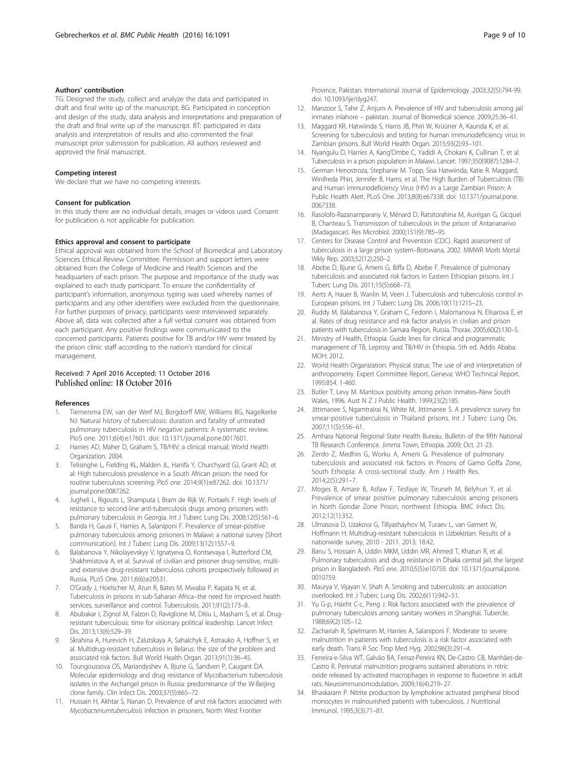#### <span id="page-8-0"></span>Authors' contribution

TG: Designed the study, collect and analyze the data and participated in draft and final write up of the manuscript; BG: Participated in conception and design of the study, data analysis and interpretations and preparation of the draft and final write up of the manuscript. BT: participated in data analysis and interpretation of results and also commented the final manuscript prior submission for publication. All authors reviewed and approved the final manuscript.

#### Competing interest

We declare that we have no competing interests.

#### Consent for publication

In this study there are no individual details, images or videos used. Consent for publication is not applicable for publication.

#### Ethics approval and consent to participate

Ethical approval was obtained from the School of Biomedical and Laboratory Sciences Ethical Review Committee. Permission and support letters were obtained from the College of Medicine and Health Sciences and the headquarters of each prison. The purpose and importance of the study was explained to each study participant. To ensure the confidentiality of participant's information, anonymous typing was used whereby names of participants and any other identifiers were excluded from the questionnaire. For further purposes of privacy, participants were interviewed separately. Above all, data was collected after a full verbal consent was obtained from each participant. Any positive findings were communicated to the concerned participants. Patients positive for TB and/or HIV were treated by the prison clinic staff according to the nation's standard for clinical management.

#### Received: 7 April 2016 Accepted: 11 October 2016 Published online: 18 October 2016

#### References

- 1. Tiemersma EW, van der Werf MJ, Borgdorff MW, Williams BG, Nagelkerke NJ: Natural history of tuberculosis: duration and fatality of untreated pulmonary tuberculosis in HIV negative patients: A systematic review. PloS one. 2011;6(4):e17601. doi: [10.1371/journal.pone.0017601.](http://dx.doi.org/10.1371/journal.pone.0017601)
- 2. Harries AD, Maher D, Graham S. TB/HIV: a clinical manual: World Health Organization. 2004.
- 3. Telisinghe L, Fielding KL, Malden JL, Hanifa Y, Churchyard GJ, Grant AD, et al: High tuberculosis prevalence in a South African prison: the need for routine tuberculosis screening. PloS one. 2014;9(1):e87262. doi: [10.1371/](http://dx.doi.org/10.1371/journal.pone.0087262) [journal.pone.0087262](http://dx.doi.org/10.1371/journal.pone.0087262).
- 4. Jugheli L, Rigouts L, Shamputa I, Bram de Rijk W, Portaels F. High levels of resistance to second-line anti-tuberculosis drugs among prisoners with pulmonary tuberculosis in Georgia. Int J Tuberc Lung Dis. 2008;12(5):561–6.
- 5. Banda H, Gausi F, Harries A, Salaniponi F. Prevalence of smear-positive pulmonary tuberculosis among prisoners in Malawi: a national survey [Short communication]. Int J Tuberc Lung Dis. 2009;13(12):1557–9.
- 6. Balabanova Y, Nikolayevskyy V, Ignatyeva O, Kontsevaya I, Rutterford CM, Shakhmistova A, et al. Survival of civilian and prisoner drug-sensitive, multiand extensive drug-resistant tuberculosis cohorts prospectively followed in Russia. PLoS One. 2011;6(6):e20531.
- 7. O'Grady J, Hoelscher M, Atun R, Bates M, Mwaba P, Kapata N, et al. Tuberculosis in prisons in sub-Saharan Africa–the need for improved health services, surveillance and control. Tuberculosis. 2011;91(2):173–8.
- 8. Abubakar I, Zignol M, Falzon D, Raviglione M, Ditiu L, Masham S, et al. Drugresistant tuberculosis: time for visionary political leadership. Lancet Infect Dis. 2013;13(6):529–39.
- 9. Skrahina A, Hurevich H, Zalutskaya A, Sahalchyk E, Astrauko A, Hoffner S, et al. Multidrug-resistant tuberculosis in Belarus: the size of the problem and associated risk factors. Bull World Health Organ. 2013;91(1):36–45.
- 10. Toungoussova OS, Mariandyshev A, Bjune G, Sandven P, Caugant DA. Molecular epidemiology and drug resistance of Mycobacterium tuberculosis isolates in the Archangel prison in Russia: predominance of the W-Beijing clone family. Clin Infect Dis. 2003;37(5):665–72.
- 11. Hussain H, Akhtar S, Nanan D. Prevalence of and risk factors associated with Mycobacteriumtuberculosis infection in prisoners, North West Frontier

Province, Pakistan. International Journal of Epidemiology .2003;32(5):794-99. doi: [10.1093/ije/dyg247](http://dx.doi.org/10.1093/ije/dyg247).

- 12. Manzoor S, Tahir Z, Anjum A. Prevalence of HIV and tuberculosis among jail inmates inlahore – pakistan. Journal of Biomedical science. 2009;25:36–41.
- 13. Maggard KR, Hatwiinda S, Harris JB, Phiri W, Krüüner A, Kaunda K, et al. Screening for tuberculosis and testing for human immunodeficiency virus in Zambian prisons. Bull World Health Organ. 2015;93(2):93–101.
- 14. Nyangulu D, Harries A, Kang'Ombe C, Yadidi A, Chokani K, Cullinan T, et al. Tuberculosis in a prison population in Malawi. Lancet. 1997;350(9087):1284–7.
- 15. German Henostroza, Stephanie M. Topp, Sisa Hatwiinda, Katie R. Maggard, Winifreda Phiri, Jennifer B. Harris, et al. The High Burden of Tuberculosis (TB) and Human Immunodeficiency Virus (HIV) in a Large Zambian Prison: A Public Health Alert. PLoS One. 2013;8(8):e67338. doi: [10.1371/journal.pone.](http://dx.doi.org/10.1371/journal.pone.0067338) [0067338.](http://dx.doi.org/10.1371/journal.pone.0067338)
- 16. Rasolofo-Razanamparany V, Ménard D, Ratsitorahina M, Aurégan G, Gicquel B, Chanteau S. Transmission of tuberculosis in the prison of Antananarivo (Madagascar). Res Microbiol. 2000;151(9):785–95.
- 17. Centers for Disease Control and Prevention (CDC). Rapid assessment of tuberculosis in a large prison system–Botswana, 2002. MMWR Morb Mortal Wkly Rep. 2003;52(12):250–2.
- 18. Abebe D, Bjune G, Ameni G, Biffa D, Abebe F. Prevalence of pulmonary tuberculosis and associated risk factors in Eastern Ethiopian prisons. Int J Tuberc Lung Dis. 2011;15(5):668–73.
- 19. Aerts A, Hauer B, Wanlin M, Veen J. Tuberculosis and tuberculosis control in European prisons. Int J Tuberc Lung Dis. 2006;10(11):1215–23.
- 20. Ruddy M, Balabanova Y, Graham C, Fedorin I, Malomanova N, Elisarova E, et al. Rates of drug resistance and risk factor analysis in civilian and prison patients with tuberculosis in Samara Region, Russia. Thorax. 2005;60(2):130–5.
- 21. Ministry of Health, Ethiopia. Guide lines for clinical and programmatic management of TB, Leprosy and TB/HIV in Ethiopia. 5th ed. Addis Ababa: MOH; 2012.
- 22. World Health Organization: Physical status: The use of and interpretation of anthropometry. Expert Committee Report. Geneva: WHO Technical Report. 1995:854. 1-460.
- 23. Butler T, Levy M. Mantoux positivity among prison inmates–New South Wales, 1996. Aust N Z J Public Health. 1999;23(2):185.
- 24. Jittimanee S, Ngamtrairai N, White M, Jittimanee S. A prevalence survey for smear-positive tuberculosis in Thailand prisons. Int J Tuberc Lung Dis. 2007;11(5):556–61.
- 25. Amhara National Regional State Health Bureau. Bulletin of the fifth National TB Research Conference. Jimma Town, Ethiopia. 2009; Oct. 21-23.
- 26. Zerdo Z, Medhin G, Worku A, Ameni G. Prevalence of pulmonary tuberculosis and associated risk factors in Prisons of Gamo Goffa Zone, South Ethiopia: A cross-sectional study. Am J Health Res. 2014;2(5):291–7.
- 27. Moges B, Amare B, Asfaw F, Tesfaye W, Tiruneh M, Belyhun Y, et al. Prevalence of smear positive pulmonary tuberculosis among prisoners in North Gondar Zone Prison, northwest Ethiopia. BMC Infect Dis. 2012;12(1):352.
- 28. Ulmasova D, Uzakova G, Tillyashayhov M, Turaev L, van Gemert W, Hoffmann H: Multidrug-resistant tuberculosis in Uzbekistan: Results of a nationwide survey, 2010 - 2011. 2013; 18:42.
- 29. Banu S, Hossain A, Uddin MKM, Uddin MR, Ahmed T, Khatun R, et al: Pulmonary tuberculosis and drug resistance in Dhaka central jail, the largest prison in Bangladesh. PloS one. 2010;5(5):e10759. doi: [10.1371/journal.pone.](http://dx.doi.org/10.1371/journal.pone.0010759) [0010759.](http://dx.doi.org/10.1371/journal.pone.0010759)
- 30. Maurya V, Vijayan V, Shah A. Smoking and tuberculosis: an association overlooked. Int J Tuberc Lung Dis. 2002;6(11):942–51.
- 31. Yu G-p, Hsieht C-c, Peng J. Risk factors associated with the prevalence of pulmonary tuberculosis among sanitary workers in Shanghai. Tubercle. 1988;69(2):105–12.
- 32. Zachariah R, Spielmann M, Harries A, Salaniponi F. Moderate to severe malnutrition in patients with tuberculosis is a risk factor associated with early death. Trans R Soc Trop Med Hyg. 2002;96(3):291–4.
- 33. Ferreira-e-Silva WT, Galvão BA, Ferraz-Pereira KN, De-Castro CB, Manhães-de-Castro R. Perinatal malnutrition programs sustained alterations in nitric oxide released by activated macrophages in response to fluoxetine in adult rats. Neuroimmunomodulation. 2009;16(4):219–27.
- 34. Bhaskaram P. Nitrite production by lymphokine activated peripheral blood monocytes in malnourished patients with tuberculosis. J Nutritional Immunol. 1995;3(3):71–81.